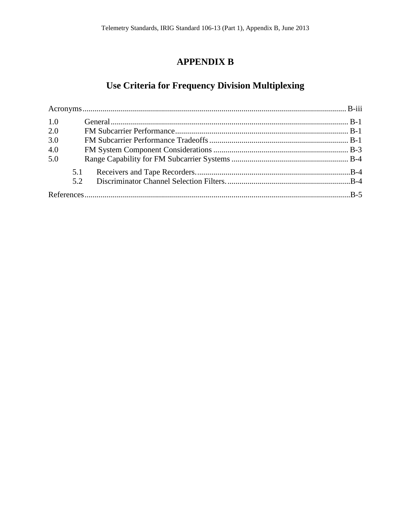## **APPENDIX B**

# **Use Criteria for Frequency Division Multiplexing**

| 1.0 |  |
|-----|--|
| 2.0 |  |
| 3.0 |  |
| 4.0 |  |
| 5.0 |  |
| 5.1 |  |
| 52  |  |
|     |  |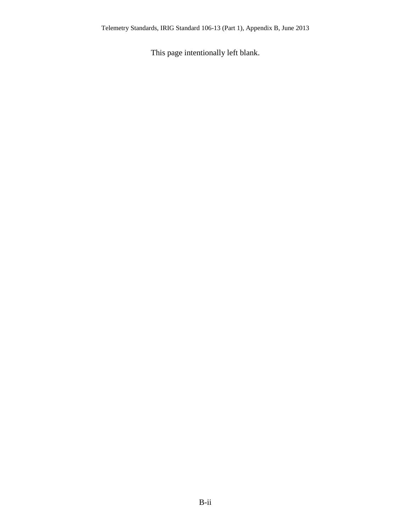This page intentionally left blank.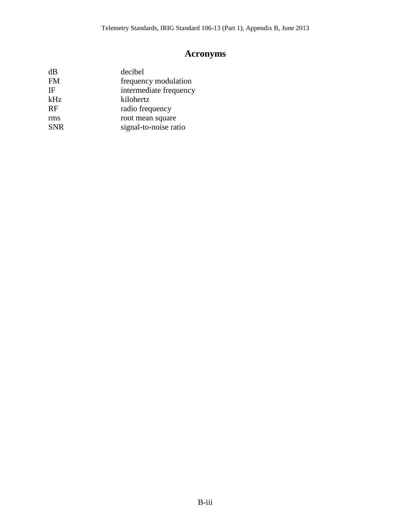# <span id="page-2-0"></span>**Acronyms**

| dB         | decibel                |
|------------|------------------------|
| <b>FM</b>  | frequency modulation   |
| ΙF         | intermediate frequency |
| kHz        | kilohertz              |
| RF         | radio frequency        |
| rms        | root mean square       |
| <b>SNR</b> | signal-to-noise ratio  |
|            |                        |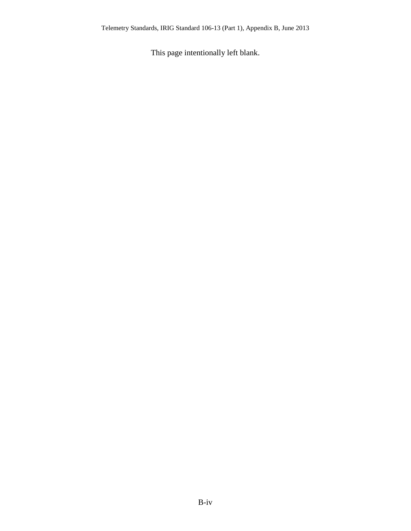This page intentionally left blank.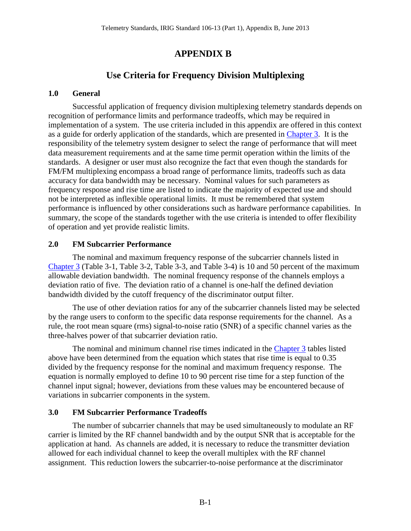### **APPENDIX B**

### **Use Criteria for Frequency Division Multiplexing**

#### <span id="page-4-0"></span>**1.0 General**

Successful application of frequency division multiplexing telemetry standards depends on recognition of performance limits and performance tradeoffs, which may be required in implementation of a system. The use criteria included in this appendix are offered in this context as a guide for orderly application of the standards, which are presented in [Chapter 3.](http://www.wsmr.army.mil/RCCsite/Documents/106-13_Telemetry_Standards/chapter3.pdf) It is the responsibility of the telemetry system designer to select the range of performance that will meet data measurement requirements and at the same time permit operation within the limits of the standards. A designer or user must also recognize the fact that even though the standards for FM/FM multiplexing encompass a broad range of performance limits, tradeoffs such as data accuracy for data bandwidth may be necessary. Nominal values for such parameters as frequency response and rise time are listed to indicate the majority of expected use and should not be interpreted as inflexible operational limits. It must be remembered that system performance is influenced by other considerations such as hardware performance capabilities. In summary, the scope of the standards together with the use criteria is intended to offer flexibility of operation and yet provide realistic limits.

#### <span id="page-4-1"></span>**2.0 FM Subcarrier Performance**

The nominal and maximum frequency response of the subcarrier channels listed in [Chapter 3](http://www.wsmr.army.mil/RCCsite/Documents/106-13_Telemetry_Standards/chapter3.pdf) (Table 3-1, Table 3-2, Table 3-3, and Table 3-4) is 10 and 50 percent of the maximum allowable deviation bandwidth. The nominal frequency response of the channels employs a deviation ratio of five. The deviation ratio of a channel is one-half the defined deviation bandwidth divided by the cutoff frequency of the discriminator output filter.

The use of other deviation ratios for any of the subcarrier channels listed may be selected by the range users to conform to the specific data response requirements for the channel. As a rule, the root mean square (rms) signal-to-noise ratio (SNR) of a specific channel varies as the three-halves power of that subcarrier deviation ratio.

The nominal and minimum channel rise times indicated in the [Chapter 3](http://www.wsmr.army.mil/RCCsite/Documents/106-13_Telemetry_Standards/chapter3.pdf) tables listed above have been determined from the equation which states that rise time is equal to 0.35 divided by the frequency response for the nominal and maximum frequency response. The equation is normally employed to define 10 to 90 percent rise time for a step function of the channel input signal; however, deviations from these values may be encountered because of variations in subcarrier components in the system.

#### <span id="page-4-2"></span>**3.0 FM Subcarrier Performance Tradeoffs**

The number of subcarrier channels that may be used simultaneously to modulate an RF carrier is limited by the RF channel bandwidth and by the output SNR that is acceptable for the application at hand. As channels are added, it is necessary to reduce the transmitter deviation allowed for each individual channel to keep the overall multiplex with the RF channel assignment. This reduction lowers the subcarrier-to-noise performance at the discriminator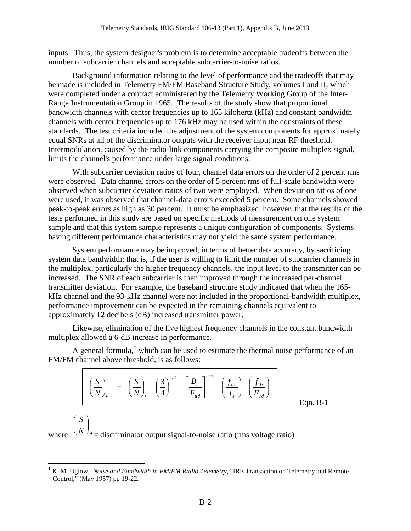inputs. Thus, the system designer's problem is to determine acceptable tradeoffs between the number of subcarrier channels and acceptable subcarrier-to-noise ratios.

Background information relating to the level of performance and the tradeoffs that may be made is included in Telemetry FM/FM Baseband Structure Study, volumes I and II; which were completed under a contract administered by the Telemetry Working Group of the Inter-Range Instrumentation Group in 1965. The results of the study show that proportional bandwidth channels with center frequencies up to 165 kilohertz (kHz) and constant bandwidth channels with center frequencies up to 176 kHz may be used within the constraints of these standards. The test criteria included the adjustment of the system components for approximately equal SNRs at all of the discriminator outputs with the receiver input near RF threshold. Intermodulation, caused by the radio-link components carrying the composite multiplex signal, limits the channel's performance under large signal conditions.

With subcarrier deviation ratios of four, channel data errors on the order of 2 percent rms were observed. Data channel errors on the order of 5 percent rms of full-scale bandwidth were observed when subcarrier deviation ratios of two were employed. When deviation ratios of one were used, it was observed that channel-data errors exceeded 5 percent. Some channels showed peak-to-peak errors as high as 30 percent. It must be emphasized, however, that the results of the tests performed in this study are based on specific methods of measurement on one system sample and that this system sample represents a unique configuration of components. Systems having different performance characteristics may not yield the same system performance.

System performance may be improved, in terms of better data accuracy, by sacrificing system data bandwidth; that is, if the user is willing to limit the number of subcarrier channels in the multiplex, particularly the higher frequency channels, the input level to the transmitter can be increased. The SNR of each subcarrier is then improved through the increased per-channel transmitter deviation. For example, the baseband structure study indicated that when the 165 kHz channel and the 93-kHz channel were not included in the proportional-bandwidth multiplex, performance improvement can be expected in the remaining channels equivalent to approximately 12 decibels (dB) increased transmitter power.

Likewise, elimination of the five highest frequency channels in the constant bandwidth multiplex allowed a 6-dB increase in performance.

A general formula,<sup>[1](#page-5-0)</sup> which can be used to estimate the thermal noise performance of an FM/FM channel above threshold, is as follows:

$$
\left(\frac{S}{N}\right)_d = \left(\frac{S}{N}\right)_c \left(\frac{3}{4}\right)^{1/2} \left[\frac{B_c}{F_{ud}}\right]^{1/2} \left(\frac{f_{dc}}{f_s}\right) \left(\frac{f_{ds}}{F_{ud}}\right)
$$
  
(S) Eqn. B-1

where  $\left(N\right)_{d}$  $\left(\frac{S}{\sigma}\right)$ J  $\left(\frac{S}{\sqrt{2}}\right)$ Y = discriminator output signal-to-noise ratio (rms voltage ratio)

<span id="page-5-0"></span><sup>&</sup>lt;sup>1</sup> K. M. Uglow. *Noise and Bandwidth in FM/FM Radio Telemetry*, "IRE Transaction on Telemetry and Remote Control," (May 1957) pp 19-22.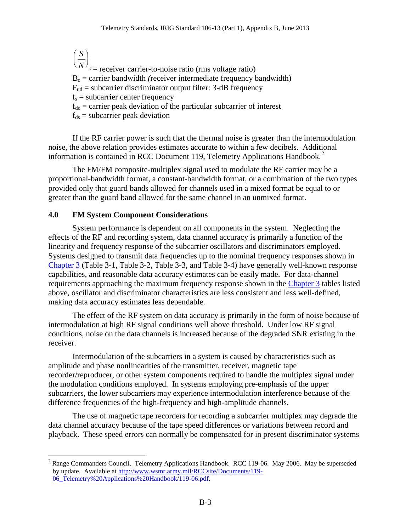*S*  $N$ <sup>*l*</sup> $_{c}$ ſ  $\left(\frac{S}{N}\right)$ = receiver carrier-to-noise ratio (rms voltage ratio) Bc = carrier bandwidth *(*receiver intermediate frequency bandwidth)  $F_{ud}$  = subcarrier discriminator output filter: 3-dB frequency  $f_s$  = subcarrier center frequency  $f_{dc}$  = carrier peak deviation of the particular subcarrier of interest  $f_{ds}$  = subcarrier peak deviation

If the RF carrier power is such that the thermal noise is greater than the intermodulation noise, the above relation provides estimates accurate to within a few decibels. Additional information is contained in RCC Document 119, Telemetry Applications Handbook.<sup>[2](#page-6-1)</sup>

The FM/FM composite-multiplex signal used to modulate the RF carrier may be a proportional-bandwidth format, a constant-bandwidth format, or a combination of the two types provided only that guard bands allowed for channels used in a mixed format be equal to or greater than the guard band allowed for the same channel in an unmixed format.

#### <span id="page-6-0"></span>**4.0 FM System Component Considerations**

System performance is dependent on all components in the system. Neglecting the effects of the RF and recording system, data channel accuracy is primarily a function of the linearity and frequency response of the subcarrier oscillators and discriminators employed. Systems designed to transmit data frequencies up to the nominal frequency responses shown in [Chapter 3](http://www.wsmr.army.mil/RCCsite/Documents/106-13_Telemetry_Standards/chapter3.pdf) (Table 3-1, Table 3-2, Table 3-3, and Table 3-4) have generally well-known response capabilities, and reasonable data accuracy estimates can be easily made. For data-channel requirements approaching the maximum frequency response shown in the [Chapter 3](http://www.wsmr.army.mil/RCCsite/Documents/106-13_Telemetry_Standards/chapter3.pdf) tables listed above, oscillator and discriminator characteristics are less consistent and less well-defined, making data accuracy estimates less dependable.

The effect of the RF system on data accuracy is primarily in the form of noise because of intermodulation at high RF signal conditions well above threshold. Under low RF signal conditions, noise on the data channels is increased because of the degraded SNR existing in the receiver.

Intermodulation of the subcarriers in a system is caused by characteristics such as amplitude and phase nonlinearities of the transmitter, receiver, magnetic tape recorder/reproducer, or other system components required to handle the multiplex signal under the modulation conditions employed. In systems employing pre-emphasis of the upper subcarriers, the lower subcarriers may experience intermodulation interference because of the difference frequencies of the high-frequency and high-amplitude channels.

The use of magnetic tape recorders for recording a subcarrier multiplex may degrade the data channel accuracy because of the tape speed differences or variations between record and playback. These speed errors can normally be compensated for in present discriminator systems

<span id="page-6-1"></span> $<sup>2</sup>$  Range Commanders Council. Telemetry Applications Handbook. RCC 119-06. May 2006. May be superseded</sup> by update. Available at [http://www.wsmr.army.mil/RCCsite/Documents/119-](http://www.wsmr.army.mil/RCCsite/Documents/119-06_Telemetry%20Applications%20Handbook/119-06.pdf) [06\\_Telemetry%20Applications%20Handbook/119-06.pdf.](http://www.wsmr.army.mil/RCCsite/Documents/119-06_Telemetry%20Applications%20Handbook/119-06.pdf)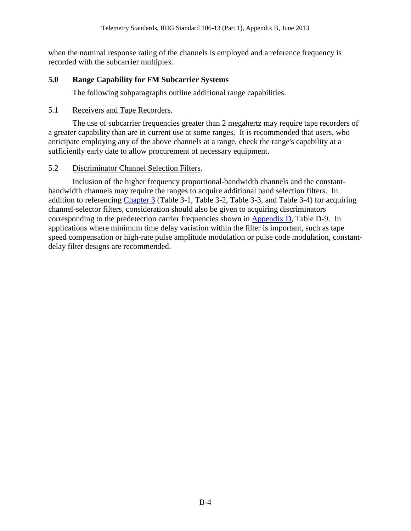when the nominal response rating of the channels is employed and a reference frequency is recorded with the subcarrier multiplex.

#### <span id="page-7-0"></span>**5.0 Range Capability for FM Subcarrier Systems**

The following subparagraphs outline additional range capabilities.

#### <span id="page-7-1"></span>5.1 Receivers and Tape Recorders.

The use of subcarrier frequencies greater than 2 megahertz may require tape recorders of a greater capability than are in current use at some ranges. It is recommended that users, who anticipate employing any of the above channels at a range, check the range's capability at a sufficiently early date to allow procurement of necessary equipment.

#### <span id="page-7-2"></span>5.2 Discriminator Channel Selection Filters.

Inclusion of the higher frequency proportional-bandwidth channels and the constantbandwidth channels may require the ranges to acquire additional band selection filters. In addition to referencing [Chapter 3](http://www.wsmr.army.mil/RCCsite/Documents/106-13_Telemetry_Standards/chapter3.pdf) (Table 3-1, Table 3-2, Table 3-3, and Table 3-4) for acquiring channel-selector filters, consideration should also be given to acquiring discriminators corresponding to the predetection carrier frequencies shown in [Appendix D,](http://www.wsmr.army.mil/RCCsite/Documents/106-13_Telemetry_Standards/AppendixD.pdf) Table D-9. In applications where minimum time delay variation within the filter is important, such as tape speed compensation or high-rate pulse amplitude modulation or pulse code modulation, constantdelay filter designs are recommended.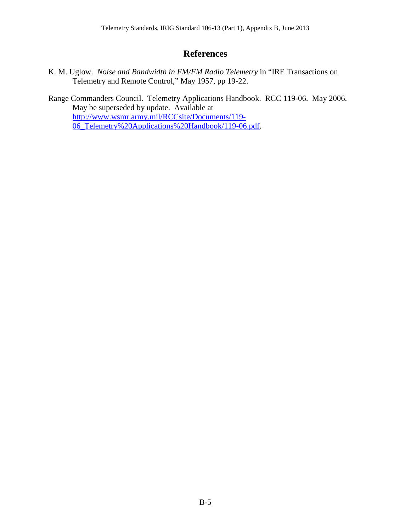## <span id="page-8-0"></span>**References**

- K. M. Uglow. *Noise and Bandwidth in FM/FM Radio Telemetry* in "IRE Transactions on Telemetry and Remote Control," May 1957, pp 19-22.
- Range Commanders Council. Telemetry Applications Handbook. RCC 119-06. May 2006. May be superseded by update. Available at [http://www.wsmr.army.mil/RCCsite/Documents/119-](http://www.wsmr.army.mil/RCCsite/Documents/119-06_Telemetry%20Applications%20Handbook/119-06.pdf) [06\\_Telemetry%20Applications%20Handbook/119-06.pdf.](http://www.wsmr.army.mil/RCCsite/Documents/119-06_Telemetry%20Applications%20Handbook/119-06.pdf)